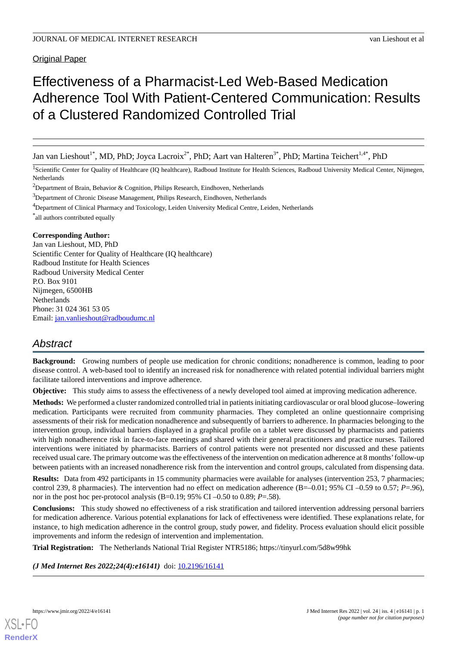# Original Paper

# Effectiveness of a Pharmacist-Led Web-Based Medication Adherence Tool With Patient-Centered Communication: Results of a Clustered Randomized Controlled Trial

Jan van Lieshout<sup>1\*</sup>, MD, PhD; Joyca Lacroix<sup>2\*</sup>, PhD; Aart van Halteren<sup>3\*</sup>, PhD; Martina Teichert<sup>1,4\*</sup>, PhD

<sup>1</sup>Scientific Center for Quality of Healthcare (IQ healthcare), Radboud Institute for Health Sciences, Radboud University Medical Center, Nijmegen, Netherlands

<sup>2</sup>Department of Brain, Behavior & Cognition, Philips Research, Eindhoven, Netherlands

<sup>3</sup>Department of Chronic Disease Management, Philips Research, Eindhoven, Netherlands

<sup>4</sup>Department of Clinical Pharmacy and Toxicology, Leiden University Medical Centre, Leiden, Netherlands

\* all authors contributed equally

#### **Corresponding Author:**

Jan van Lieshout, MD, PhD Scientific Center for Quality of Healthcare (IQ healthcare) Radboud Institute for Health Sciences Radboud University Medical Center P.O. Box 9101 Nijmegen, 6500HB Netherlands Phone: 31 024 361 53 05 Email: [jan.vanlieshout@radboudumc.nl](mailto:jan.vanlieshout@radboudumc.nl)

# *Abstract*

**Background:** Growing numbers of people use medication for chronic conditions; nonadherence is common, leading to poor disease control. A web-based tool to identify an increased risk for nonadherence with related potential individual barriers might facilitate tailored interventions and improve adherence.

**Objective:** This study aims to assess the effectiveness of a newly developed tool aimed at improving medication adherence.

**Methods:** We performed a cluster randomized controlled trial in patients initiating cardiovascular or oral blood glucose–lowering medication. Participants were recruited from community pharmacies. They completed an online questionnaire comprising assessments of their risk for medication nonadherence and subsequently of barriers to adherence. In pharmacies belonging to the intervention group, individual barriers displayed in a graphical profile on a tablet were discussed by pharmacists and patients with high nonadherence risk in face-to-face meetings and shared with their general practitioners and practice nurses. Tailored interventions were initiated by pharmacists. Barriers of control patients were not presented nor discussed and these patients received usual care. The primary outcome was the effectiveness of the intervention on medication adherence at 8 months'follow-up between patients with an increased nonadherence risk from the intervention and control groups, calculated from dispensing data.

**Results:** Data from 492 participants in 15 community pharmacies were available for analyses (intervention 253, 7 pharmacies; control 239, 8 pharmacies). The intervention had no effect on medication adherence (B=–0.01; 95% CI –0.59 to 0.57; *P*=.96), nor in the post hoc per-protocol analysis (B=0.19; 95% CI –0.50 to 0.89;  $P = .58$ ).

**Conclusions:** This study showed no effectiveness of a risk stratification and tailored intervention addressing personal barriers for medication adherence. Various potential explanations for lack of effectiveness were identified. These explanations relate, for instance, to high medication adherence in the control group, study power, and fidelity. Process evaluation should elicit possible improvements and inform the redesign of intervention and implementation.

**Trial Registration:** The Netherlands National Trial Register NTR5186; https://tinyurl.com/5d8w99hk

*(J Med Internet Res 2022;24(4):e16141)* doi: [10.2196/16141](http://dx.doi.org/10.2196/16141)

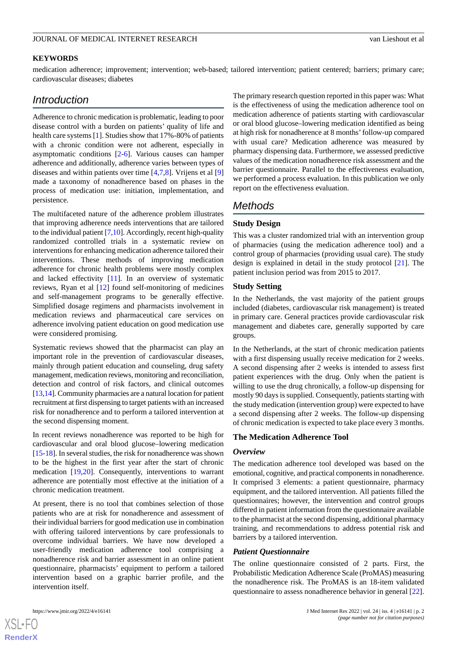#### **KEYWORDS**

medication adherence; improvement; intervention; web-based; tailored intervention; patient centered; barriers; primary care; cardiovascular diseases; diabetes

# *Introduction*

Adherence to chronic medication is problematic, leading to poor disease control with a burden on patients' quality of life and health care systems [\[1](#page-10-0)]. Studies show that 17%-80% of patients with a chronic condition were not adherent, especially in asymptomatic conditions [\[2](#page-11-0)[-6](#page-11-1)]. Various causes can hamper adherence and additionally, adherence varies between types of diseases and within patients over time [\[4](#page-11-2),[7,](#page-11-3)[8](#page-11-4)]. Vrijens et al [\[9](#page-11-5)] made a taxonomy of nonadherence based on phases in the process of medication use: initiation, implementation, and persistence.

The multifaceted nature of the adherence problem illustrates that improving adherence needs interventions that are tailored to the individual patient [[7,](#page-11-3)[10\]](#page-11-6). Accordingly, recent high-quality randomized controlled trials in a systematic review on interventions for enhancing medication adherence tailored their interventions. These methods of improving medication adherence for chronic health problems were mostly complex and lacked effectivity [\[11](#page-11-7)]. In an overview of systematic reviews, Ryan et al [\[12](#page-11-8)] found self-monitoring of medicines and self-management programs to be generally effective. Simplified dosage regimens and pharmacists involvement in medication reviews and pharmaceutical care services on adherence involving patient education on good medication use were considered promising.

Systematic reviews showed that the pharmacist can play an important role in the prevention of cardiovascular diseases, mainly through patient education and counseling, drug safety management, medication reviews, monitoring and reconciliation, detection and control of risk factors, and clinical outcomes [[13,](#page-11-9)[14\]](#page-11-10). Community pharmacies are a natural location for patient recruitment at first dispensing to target patients with an increased risk for nonadherence and to perform a tailored intervention at the second dispensing moment.

In recent reviews nonadherence was reported to be high for cardiovascular and oral blood glucose–lowering medication [[15-](#page-11-11)[18\]](#page-11-12). In several studies, the risk for nonadherence was shown to be the highest in the first year after the start of chronic medication [[19,](#page-11-13)[20\]](#page-11-14). Consequently, interventions to warrant adherence are potentially most effective at the initiation of a chronic medication treatment.

At present, there is no tool that combines selection of those patients who are at risk for nonadherence and assessment of their individual barriers for good medication use in combination with offering tailored interventions by care professionals to overcome individual barriers. We have now developed a user-friendly medication adherence tool comprising a nonadherence risk and barrier assessment in an online patient questionnaire, pharmacists' equipment to perform a tailored intervention based on a graphic barrier profile, and the intervention itself.

The primary research question reported in this paper was: What is the effectiveness of using the medication adherence tool on medication adherence of patients starting with cardiovascular or oral blood glucose–lowering medication identified as being at high risk for nonadherence at 8 months'follow-up compared with usual care? Medication adherence was measured by pharmacy dispensing data. Furthermore, we assessed predictive values of the medication nonadherence risk assessment and the barrier questionnaire. Parallel to the effectiveness evaluation, we performed a process evaluation. In this publication we only report on the effectiveness evaluation.

# *Methods*

## **Study Design**

This was a cluster randomized trial with an intervention group of pharmacies (using the medication adherence tool) and a control group of pharmacies (providing usual care). The study design is explained in detail in the study protocol [[21\]](#page-11-15). The patient inclusion period was from 2015 to 2017.

## **Study Setting**

In the Netherlands, the vast majority of the patient groups included (diabetes, cardiovascular risk management) is treated in primary care. General practices provide cardiovascular risk management and diabetes care, generally supported by care groups.

In the Netherlands, at the start of chronic medication patients with a first dispensing usually receive medication for 2 weeks. A second dispensing after 2 weeks is intended to assess first patient experiences with the drug. Only when the patient is willing to use the drug chronically, a follow-up dispensing for mostly 90 days is supplied. Consequently, patients starting with the study medication (intervention group) were expected to have a second dispensing after 2 weeks. The follow-up dispensing of chronic medication is expected to take place every 3 months.

## **The Medication Adherence Tool**

#### *Overview*

The medication adherence tool developed was based on the emotional, cognitive, and practical components in nonadherence. It comprised 3 elements: a patient questionnaire, pharmacy equipment, and the tailored intervention. All patients filled the questionnaires; however, the intervention and control groups differed in patient information from the questionnaire available to the pharmacist at the second dispensing, additional pharmacy training, and recommendations to address potential risk and barriers by a tailored intervention.

#### *Patient Questionnaire*

The online questionnaire consisted of 2 parts. First, the Probabilistic Medication Adherence Scale (ProMAS) measuring the nonadherence risk. The ProMAS is an 18-item validated questionnaire to assess nonadherence behavior in general [[22\]](#page-11-16).



**[RenderX](http://www.renderx.com/)**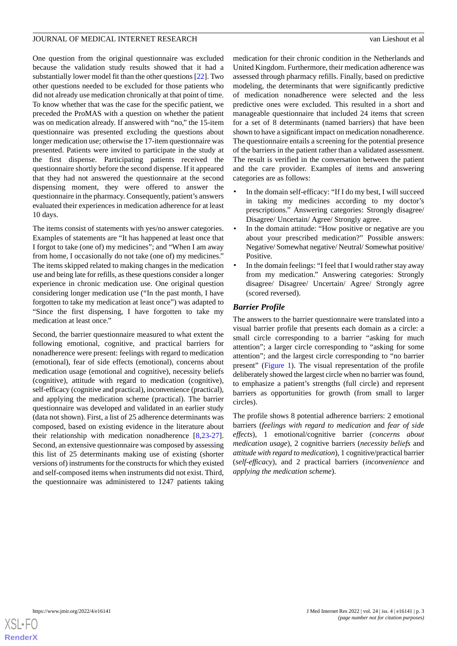One question from the original questionnaire was excluded because the validation study results showed that it had a substantially lower model fit than the other questions [\[22](#page-11-16)]. Two other questions needed to be excluded for those patients who did not already use medication chronically at that point of time. To know whether that was the case for the specific patient, we preceded the ProMAS with a question on whether the patient was on medication already. If answered with "no," the 15-item questionnaire was presented excluding the questions about longer medication use; otherwise the 17-item questionnaire was presented. Patients were invited to participate in the study at the first dispense. Participating patients received the questionnaire shortly before the second dispense. If it appeared that they had not answered the questionnaire at the second dispensing moment, they were offered to answer the questionnaire in the pharmacy. Consequently, patient's answers evaluated their experiences in medication adherence for at least 10 days.

The items consist of statements with yes/no answer categories. Examples of statements are "It has happened at least once that I forgot to take (one of) my medicines"; and "When I am away from home, I occasionally do not take (one of) my medicines." The items skipped related to making changes in the medication use and being late for refills, as these questions consider a longer experience in chronic medication use. One original question considering longer medication use ("In the past month, I have forgotten to take my medication at least once") was adapted to "Since the first dispensing, I have forgotten to take my medication at least once."

Second, the barrier questionnaire measured to what extent the following emotional, cognitive, and practical barriers for nonadherence were present: feelings with regard to medication (emotional), fear of side effects (emotional), concerns about medication usage (emotional and cognitive), necessity beliefs (cognitive), attitude with regard to medication (cognitive), self-efficacy (cognitive and practical), inconvenience (practical), and applying the medication scheme (practical). The barrier questionnaire was developed and validated in an earlier study (data not shown). First, a list of 25 adherence determinants was composed, based on existing evidence in the literature about their relationship with medication nonadherence [[8](#page-11-4)[,23](#page-11-17)-[27\]](#page-12-0). Second, an extensive questionnaire was composed by assessing this list of 25 determinants making use of existing (shorter versions of) instruments for the constructs for which they existed and self-composed items when instruments did not exist. Third, the questionnaire was administered to 1247 patients taking

medication for their chronic condition in the Netherlands and United Kingdom. Furthermore, their medication adherence was assessed through pharmacy refills. Finally, based on predictive modeling, the determinants that were significantly predictive of medication nonadherence were selected and the less predictive ones were excluded. This resulted in a short and manageable questionnaire that included 24 items that screen for a set of 8 determinants (named barriers) that have been shown to have a significant impact on medication nonadherence. The questionnaire entails a screening for the potential presence of the barriers in the patient rather than a validated assessment. The result is verified in the conversation between the patient and the care provider. Examples of items and answering categories are as follows:

- In the domain self-efficacy: "If I do my best, I will succeed in taking my medicines according to my doctor's prescriptions." Answering categories: Strongly disagree/ Disagree/ Uncertain/ Agree/ Strongly agree.
- In the domain attitude: "How positive or negative are you about your prescribed medication?" Possible answers: Negative/ Somewhat negative/ Neutral/ Somewhat positive/ Positive.
- In the domain feelings: "I feel that I would rather stay away from my medication." Answering categories: Strongly disagree/ Disagree/ Uncertain/ Agree/ Strongly agree (scored reversed).

# *Barrier Profile*

The answers to the barrier questionnaire were translated into a visual barrier profile that presents each domain as a circle: a small circle corresponding to a barrier "asking for much attention"; a larger circle corresponding to "asking for some attention"; and the largest circle corresponding to "no barrier present" [\(Figure 1\)](#page-3-0). The visual representation of the profile deliberately showed the largest circle when no barrier was found, to emphasize a patient's strengths (full circle) and represent barriers as opportunities for growth (from small to larger circles).

The profile shows 8 potential adherence barriers: 2 emotional barriers (*feelings with regard to medication* and *fear of side effects*), 1 emotional/cognitive barrier (*concerns about medication usage*), 2 cognitive barriers (*necessity beliefs* and *attitude with regard to medication*), 1 cognitive/practical barrier (*self-efficacy*), and 2 practical barriers (*inconvenience* and *applying the medication scheme*).

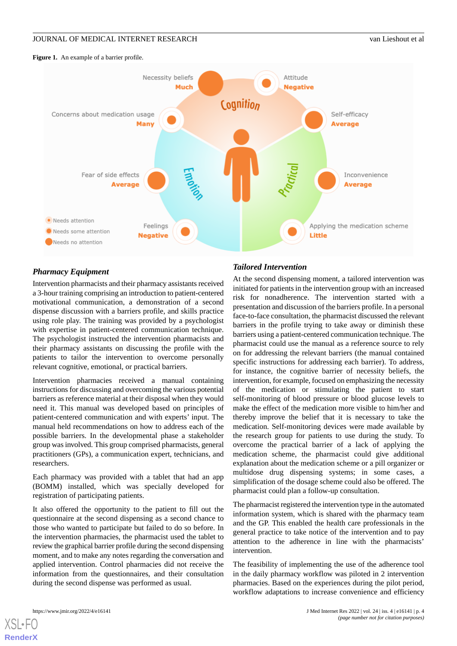#### <span id="page-3-0"></span>**Figure 1.** An example of a barrier profile.



# *Pharmacy Equipment*

Intervention pharmacists and their pharmacy assistants received a 3-hour training comprising an introduction to patient-centered motivational communication, a demonstration of a second dispense discussion with a barriers profile, and skills practice using role play. The training was provided by a psychologist with expertise in patient-centered communication technique. The psychologist instructed the intervention pharmacists and their pharmacy assistants on discussing the profile with the patients to tailor the intervention to overcome personally relevant cognitive, emotional, or practical barriers.

Intervention pharmacies received a manual containing instructions for discussing and overcoming the various potential barriers as reference material at their disposal when they would need it. This manual was developed based on principles of patient-centered communication and with experts' input. The manual held recommendations on how to address each of the possible barriers. In the developmental phase a stakeholder group was involved. This group comprised pharmacists, general practitioners (GPs), a communication expert, technicians, and researchers.

Each pharmacy was provided with a tablet that had an app (BOMM) installed, which was specially developed for registration of participating patients.

It also offered the opportunity to the patient to fill out the questionnaire at the second dispensing as a second chance to those who wanted to participate but failed to do so before. In the intervention pharmacies, the pharmacist used the tablet to review the graphical barrier profile during the second dispensing moment, and to make any notes regarding the conversation and applied intervention. Control pharmacies did not receive the information from the questionnaires, and their consultation during the second dispense was performed as usual.

# *Tailored Intervention*

At the second dispensing moment, a tailored intervention was initiated for patients in the intervention group with an increased risk for nonadherence. The intervention started with a presentation and discussion of the barriers profile. In a personal face-to-face consultation, the pharmacist discussed the relevant barriers in the profile trying to take away or diminish these barriers using a patient-centered communication technique. The pharmacist could use the manual as a reference source to rely on for addressing the relevant barriers (the manual contained specific instructions for addressing each barrier). To address, for instance, the cognitive barrier of necessity beliefs, the intervention, for example, focused on emphasizing the necessity of the medication or stimulating the patient to start self-monitoring of blood pressure or blood glucose levels to make the effect of the medication more visible to him/her and thereby improve the belief that it is necessary to take the medication. Self-monitoring devices were made available by the research group for patients to use during the study. To overcome the practical barrier of a lack of applying the medication scheme, the pharmacist could give additional explanation about the medication scheme or a pill organizer or multidose drug dispensing systems; in some cases, a simplification of the dosage scheme could also be offered. The pharmacist could plan a follow-up consultation.

The pharmacist registered the intervention type in the automated information system, which is shared with the pharmacy team and the GP. This enabled the health care professionals in the general practice to take notice of the intervention and to pay attention to the adherence in line with the pharmacists' intervention.

The feasibility of implementing the use of the adherence tool in the daily pharmacy workflow was piloted in 2 intervention pharmacies. Based on the experiences during the pilot period, workflow adaptations to increase convenience and efficiency

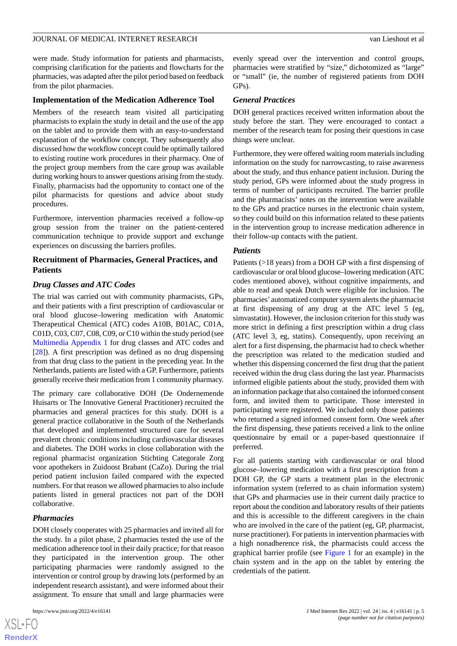were made. Study information for patients and pharmacists, comprising clarification for the patients and flowcharts for the pharmacies, was adapted after the pilot period based on feedback from the pilot pharmacies.

#### **Implementation of the Medication Adherence Tool**

Members of the research team visited all participating pharmacists to explain the study in detail and the use of the app on the tablet and to provide them with an easy-to-understand explanation of the workflow concept. They subsequently also discussed how the workflow concept could be optimally tailored to existing routine work procedures in their pharmacy. One of the project group members from the care group was available during working hours to answer questions arising from the study. Finally, pharmacists had the opportunity to contact one of the pilot pharmacists for questions and advice about study procedures.

Furthermore, intervention pharmacies received a follow-up group session from the trainer on the patient-centered communication technique to provide support and exchange experiences on discussing the barriers profiles.

## **Recruitment of Pharmacies, General Practices, and Patients**

## *Drug Classes and ATC Codes*

The trial was carried out with community pharmacists, GPs, and their patients with a first prescription of cardiovascular or oral blood glucose–lowering medication with Anatomic Therapeutical Chemical (ATC) codes A10B, B01AC, C01A, C01D, C03, C07, C08, C09, or C10 within the study period (see [Multimedia Appendix 1](#page-10-1) for drug classes and ATC codes and [[28\]](#page-12-1)). A first prescription was defined as no drug dispensing from that drug class to the patient in the preceding year. In the Netherlands, patients are listed with a GP. Furthermore, patients generally receive their medication from 1 community pharmacy.

The primary care collaborative DOH (De Ondernemende Huisarts or The Innovative General Practitioner) recruited the pharmacies and general practices for this study. DOH is a general practice collaborative in the South of the Netherlands that developed and implemented structured care for several prevalent chronic conditions including cardiovascular diseases and diabetes. The DOH works in close collaboration with the regional pharmacist organization Stichting Categorale Zorg voor apothekers in Zuidoost Brabant (CaZo). During the trial period patient inclusion failed compared with the expected numbers. For that reason we allowed pharmacies to also include patients listed in general practices not part of the DOH collaborative.

#### *Pharmacies*

DOH closely cooperates with 25 pharmacies and invited all for the study. In a pilot phase, 2 pharmacies tested the use of the medication adherence tool in their daily practice; for that reason they participated in the intervention group. The other participating pharmacies were randomly assigned to the intervention or control group by drawing lots (performed by an independent research assistant), and were informed about their assignment. To ensure that small and large pharmacies were

evenly spread over the intervention and control groups, pharmacies were stratified by "size," dichotomized as "large" or "small" (ie, the number of registered patients from DOH GPs).

#### *General Practices*

DOH general practices received written information about the study before the start. They were encouraged to contact a member of the research team for posing their questions in case things were unclear.

Furthermore, they were offered waiting room materials including information on the study for narrowcasting, to raise awareness about the study, and thus enhance patient inclusion. During the study period, GPs were informed about the study progress in terms of number of participants recruited. The barrier profile and the pharmacists' notes on the intervention were available to the GPs and practice nurses in the electronic chain system, so they could build on this information related to these patients in the intervention group to increase medication adherence in their follow-up contacts with the patient.

#### *Patients*

Patients (>18 years) from a DOH GP with a first dispensing of cardiovascular or oral blood glucose–lowering medication (ATC codes mentioned above), without cognitive impairments, and able to read and speak Dutch were eligible for inclusion. The pharmacies' automatized computer system alerts the pharmacist at first dispensing of any drug at the ATC level 5 (eg, simvastatin). However, the inclusion criterion for this study was more strict in defining a first prescription within a drug class (ATC level 3, eg, statins). Consequently, upon receiving an alert for a first dispensing, the pharmacist had to check whether the prescription was related to the medication studied and whether this dispensing concerned the first drug that the patient received within the drug class during the last year. Pharmacists informed eligible patients about the study, provided them with an information package that also contained the informed consent form, and invited them to participate. Those interested in participating were registered. We included only those patients who returned a signed informed consent form. One week after the first dispensing, these patients received a link to the online questionnaire by email or a paper-based questionnaire if preferred.

For all patients starting with cardiovascular or oral blood glucose–lowering medication with a first prescription from a DOH GP, the GP starts a treatment plan in the electronic information system (referred to as chain information system) that GPs and pharmacies use in their current daily practice to report about the condition and laboratory results of their patients and this is accessible to the different caregivers in the chain who are involved in the care of the patient (eg, GP, pharmacist, nurse practitioner). For patients in intervention pharmacies with a high nonadherence risk, the pharmacists could access the graphical barrier profile (see [Figure 1](#page-3-0) for an example) in the chain system and in the app on the tablet by entering the credentials of the patient.

```
XS\cdotFC
RenderX
```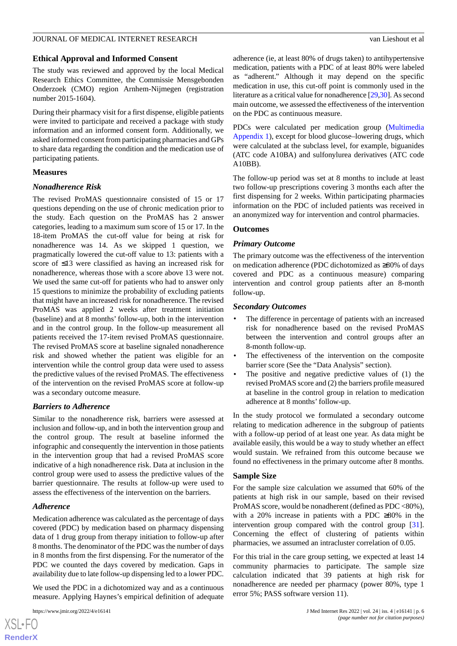## **Ethical Approval and Informed Consent**

The study was reviewed and approved by the local Medical Research Ethics Committee, the Commissie Mensgebonden Onderzoek (CMO) region Arnhem-Nijmegen (registration number 2015-1604).

During their pharmacy visit for a first dispense, eligible patients were invited to participate and received a package with study information and an informed consent form. Additionally, we asked informed consent from participating pharmacies and GPs to share data regarding the condition and the medication use of participating patients.

## **Measures**

# *Nonadherence Risk*

The revised ProMAS questionnaire consisted of 15 or 17 questions depending on the use of chronic medication prior to the study. Each question on the ProMAS has 2 answer categories, leading to a maximum sum score of 15 or 17. In the 18-item ProMAS the cut-off value for being at risk for nonadherence was 14. As we skipped 1 question, we pragmatically lowered the cut-off value to 13: patients with a score of ≤13 were classified as having an increased risk for nonadherence, whereas those with a score above 13 were not. We used the same cut-off for patients who had to answer only 15 questions to minimize the probability of excluding patients that might have an increased risk for nonadherence. The revised ProMAS was applied 2 weeks after treatment initiation (baseline) and at 8 months' follow-up, both in the intervention and in the control group. In the follow-up measurement all patients received the 17-item revised ProMAS questionnaire. The revised ProMAS score at baseline signaled nonadherence risk and showed whether the patient was eligible for an intervention while the control group data were used to assess the predictive values of the revised ProMAS. The effectiveness of the intervention on the revised ProMAS score at follow-up was a secondary outcome measure.

# *Barriers to Adherence*

Similar to the nonadherence risk, barriers were assessed at inclusion and follow-up, and in both the intervention group and the control group. The result at baseline informed the infographic and consequently the intervention in those patients in the intervention group that had a revised ProMAS score indicative of a high nonadherence risk. Data at inclusion in the control group were used to assess the predictive values of the barrier questionnaire. The results at follow-up were used to assess the effectiveness of the intervention on the barriers.

# *Adherence*

Medication adherence was calculated as the percentage of days covered (PDC) by medication based on pharmacy dispensing data of 1 drug group from therapy initiation to follow-up after 8 months. The denominator of the PDC was the number of days in 8 months from the first dispensing. For the numerator of the PDC we counted the days covered by medication. Gaps in availability due to late follow-up dispensing led to a lower PDC.

We used the PDC in a dichotomized way and as a continuous measure. Applying Haynes's empirical definition of adequate

adherence (ie, at least 80% of drugs taken) to antihypertensive medication, patients with a PDC of at least 80% were labeled as "adherent." Although it may depend on the specific medication in use, this cut-off point is commonly used in the literature as a critical value for nonadherence [[29,](#page-12-2)[30\]](#page-12-3). As second main outcome, we assessed the effectiveness of the intervention on the PDC as continuous measure.

PDCs were calculated per medication group [\(Multimedia](#page-10-1) [Appendix 1\)](#page-10-1), except for blood glucose–lowering drugs, which were calculated at the subclass level, for example, biguanides (ATC code A10BA) and sulfonylurea derivatives (ATC code A10BB).

The follow-up period was set at 8 months to include at least two follow-up prescriptions covering 3 months each after the first dispensing for 2 weeks. Within participating pharmacies information on the PDC of included patients was received in an anonymized way for intervention and control pharmacies.

## **Outcomes**

## *Primary Outcome*

The primary outcome was the effectiveness of the intervention on medication adherence (PDC dichotomized as ≥80% of days covered and PDC as a continuous measure) comparing intervention and control group patients after an 8-month follow-up.

## *Secondary Outcomes*

- The difference in percentage of patients with an increased risk for nonadherence based on the revised ProMAS between the intervention and control groups after an 8-month follow-up.
- The effectiveness of the intervention on the composite barrier score (See the "Data Analysis" section).
- The positive and negative predictive values of (1) the revised ProMAS score and (2) the barriers profile measured at baseline in the control group in relation to medication adherence at 8 months' follow-up.

In the study protocol we formulated a secondary outcome relating to medication adherence in the subgroup of patients with a follow-up period of at least one year. As data might be available easily, this would be a way to study whether an effect would sustain. We refrained from this outcome because we found no effectiveness in the primary outcome after 8 months.

## **Sample Size**

For the sample size calculation we assumed that 60% of the patients at high risk in our sample, based on their revised ProMAS score, would be nonadherent (defined as PDC <80%), with a 20% increase in patients with a PDC ≥80% in the intervention group compared with the control group [[31\]](#page-12-4). Concerning the effect of clustering of patients within pharmacies, we assumed an intracluster correlation of 0.05.

For this trial in the care group setting, we expected at least 14 community pharmacies to participate. The sample size calculation indicated that 39 patients at high risk for nonadherence are needed per pharmacy (power 80%, type 1 error 5%; PASS software version 11).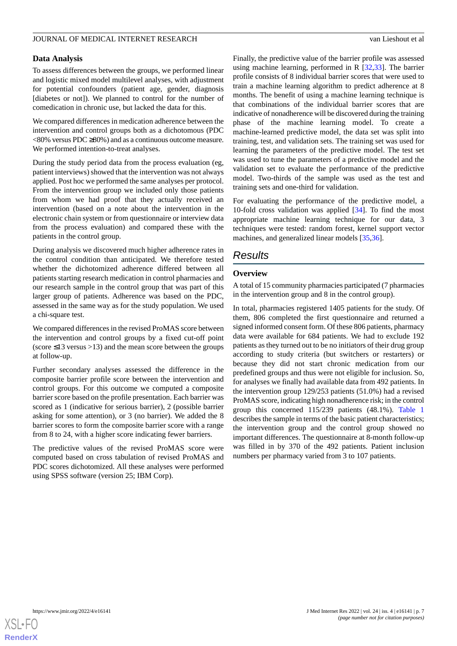## **Data Analysis**

To assess differences between the groups, we performed linear and logistic mixed model multilevel analyses, with adjustment for potential confounders (patient age, gender, diagnosis [diabetes or not]). We planned to control for the number of comedication in chronic use, but lacked the data for this.

We compared differences in medication adherence between the intervention and control groups both as a dichotomous (PDC  $\langle 80\% \text{ versus PDC} \geq 80\%$  and as a continuous outcome measure. We performed intention-to-treat analyses.

During the study period data from the process evaluation (eg, patient interviews) showed that the intervention was not always applied. Post hoc we performed the same analyses per protocol. From the intervention group we included only those patients from whom we had proof that they actually received an intervention (based on a note about the intervention in the electronic chain system or from questionnaire or interview data from the process evaluation) and compared these with the patients in the control group.

During analysis we discovered much higher adherence rates in the control condition than anticipated. We therefore tested whether the dichotomized adherence differed between all patients starting research medication in control pharmacies and our research sample in the control group that was part of this larger group of patients. Adherence was based on the PDC, assessed in the same way as for the study population. We used a chi-square test.

We compared differences in the revised ProMAS score between the intervention and control groups by a fixed cut-off point (score  $\leq$ 13 versus  $>$ 13) and the mean score between the groups at follow-up.

Further secondary analyses assessed the difference in the composite barrier profile score between the intervention and control groups. For this outcome we computed a composite barrier score based on the profile presentation. Each barrier was scored as 1 (indicative for serious barrier), 2 (possible barrier asking for some attention), or 3 (no barrier). We added the 8 barrier scores to form the composite barrier score with a range from 8 to 24, with a higher score indicating fewer barriers.

The predictive values of the revised ProMAS score were computed based on cross tabulation of revised ProMAS and PDC scores dichotomized. All these analyses were performed using SPSS software (version 25; IBM Corp).

Finally, the predictive value of the barrier profile was assessed using machine learning, performed in R [\[32](#page-12-5),[33\]](#page-12-6). The barrier profile consists of 8 individual barrier scores that were used to train a machine learning algorithm to predict adherence at 8 months. The benefit of using a machine learning technique is that combinations of the individual barrier scores that are indicative of nonadherence will be discovered during the training phase of the machine learning model. To create a machine-learned predictive model, the data set was split into training, test, and validation sets. The training set was used for learning the parameters of the predictive model. The test set was used to tune the parameters of a predictive model and the validation set to evaluate the performance of the predictive model. Two-thirds of the sample was used as the test and training sets and one-third for validation.

For evaluating the performance of the predictive model, a 10-fold cross validation was applied [\[34](#page-12-7)]. To find the most appropriate machine learning technique for our data, 3 techniques were tested: random forest, kernel support vector machines, and generalized linear models [[35](#page-12-8)[,36](#page-12-9)].

# *Results*

# **Overview**

A total of 15 community pharmacies participated (7 pharmacies in the intervention group and 8 in the control group).

In total, pharmacies registered 1405 patients for the study. Of them, 806 completed the first questionnaire and returned a signed informed consent form. Of these 806 patients, pharmacy data were available for 684 patients. We had to exclude 192 patients as they turned out to be no initiators of their drug group according to study criteria (but switchers or restarters) or because they did not start chronic medication from our predefined groups and thus were not eligible for inclusion. So, for analyses we finally had available data from 492 patients. In the intervention group 129/253 patients (51.0%) had a revised ProMAS score, indicating high nonadherence risk; in the control group this concerned 115/239 patients (48.1%). [Table 1](#page-7-0) describes the sample in terms of the basic patient characteristics; the intervention group and the control group showed no important differences. The questionnaire at 8-month follow-up was filled in by 370 of the 492 patients. Patient inclusion numbers per pharmacy varied from 3 to 107 patients.

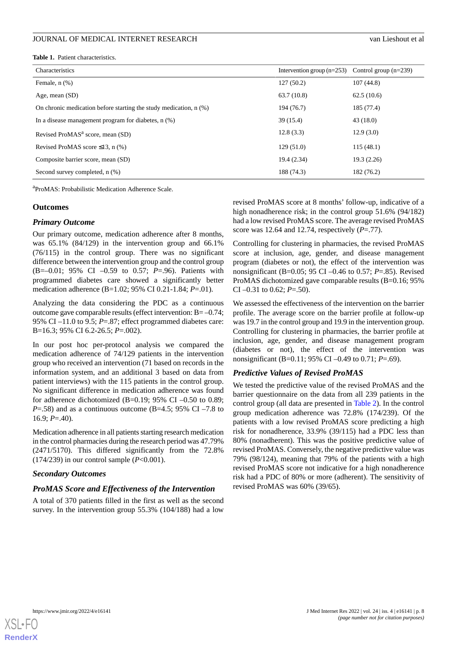<span id="page-7-0"></span>

|  | Table 1. Patient characteristics. |
|--|-----------------------------------|
|--|-----------------------------------|

| Characteristics                                                        | Intervention group $(n=253)$ Control group $(n=239)$ |            |
|------------------------------------------------------------------------|------------------------------------------------------|------------|
| Female, $n$ $(\%)$                                                     | 127(50.2)                                            | 107(44.8)  |
| Age, mean (SD)                                                         | 63.7(10.8)                                           | 62.5(10.6) |
| On chronic medication before starting the study medication, $n$ $(\%)$ | 194 (76.7)                                           | 185 (77.4) |
| In a disease management program for diabetes, $n$ $(\%)$               | 39(15.4)                                             | 43(18.0)   |
| Revised ProMAS <sup>a</sup> score, mean (SD)                           | 12.8(3.3)                                            | 12.9(3.0)  |
| Revised ProMAS score $\leq$ 13, n (%)                                  | 129(51.0)                                            | 115(48.1)  |
| Composite barrier score, mean (SD)                                     | 19.4 (2.34)                                          | 19.3(2.26) |
| Second survey completed, n (%)                                         | 188 (74.3)                                           | 182 (76.2) |

a ProMAS: Probabilistic Medication Adherence Scale.

#### **Outcomes**

#### *Primary Outcome*

Our primary outcome, medication adherence after 8 months, was 65.1% (84/129) in the intervention group and 66.1% (76/115) in the control group. There was no significant difference between the intervention group and the control group (B=–0.01; 95% CI –0.59 to 0.57; *P*=.96). Patients with programmed diabetes care showed a significantly better medication adherence (B=1.02; 95% CI 0.21-1.84; *P*=.01).

Analyzing the data considering the PDC as a continuous outcome gave comparable results (effect intervention: B= –0.74; 95% CI –11.0 to 9.5; *P*=.87; effect programmed diabetes care: B=16.3; 95% CI 6.2-26.5; *P*=.002).

In our post hoc per-protocol analysis we compared the medication adherence of 74/129 patients in the intervention group who received an intervention (71 based on records in the information system, and an additional 3 based on data from patient interviews) with the 115 patients in the control group. No significant difference in medication adherence was found for adherence dichotomized (B=0.19; 95% CI –0.50 to 0.89; *P*=.58) and as a continuous outcome (B=4.5; 95% CI –7.8 to  $16.9: P = .40$ .

Medication adherence in all patients starting research medication in the control pharmacies during the research period was 47.79% (2471/5170). This differed significantly from the 72.8% (174/239) in our control sample (*P*<0.001).

## *Secondary Outcomes*

## *ProMAS Score and Effectiveness of the Intervention*

A total of 370 patients filled in the first as well as the second survey. In the intervention group 55.3% (104/188) had a low

revised ProMAS score at 8 months' follow-up, indicative of a high nonadherence risk; in the control group 51.6% (94/182) had a low revised ProMAS score. The average revised ProMAS score was 12.64 and 12.74, respectively (*P*=.77).

Controlling for clustering in pharmacies, the revised ProMAS score at inclusion, age, gender, and disease management program (diabetes or not), the effect of the intervention was nonsignificant (B=0.05; 95 CI –0.46 to 0.57; *P*=.85). Revised ProMAS dichotomized gave comparable results (B=0.16; 95% CI –0.31 to 0.62; *P*=.50).

We assessed the effectiveness of the intervention on the barrier profile. The average score on the barrier profile at follow-up was 19.7 in the control group and 19.9 in the intervention group. Controlling for clustering in pharmacies, the barrier profile at inclusion, age, gender, and disease management program (diabetes or not), the effect of the intervention was nonsignificant (B=0.11; 95% CI –0.49 to 0.71; *P*=.69).

# *Predictive Values of Revised ProMAS*

We tested the predictive value of the revised ProMAS and the barrier questionnaire on the data from all 239 patients in the control group (all data are presented in [Table 2\)](#page-8-0). In the control group medication adherence was 72.8% (174/239). Of the patients with a low revised ProMAS score predicting a high risk for nonadherence, 33.9% (39/115) had a PDC less than 80% (nonadherent). This was the positive predictive value of revised ProMAS. Conversely, the negative predictive value was 79% (98/124), meaning that 79% of the patients with a high revised ProMAS score not indicative for a high nonadherence risk had a PDC of 80% or more (adherent). The sensitivity of revised ProMAS was 60% (39/65).

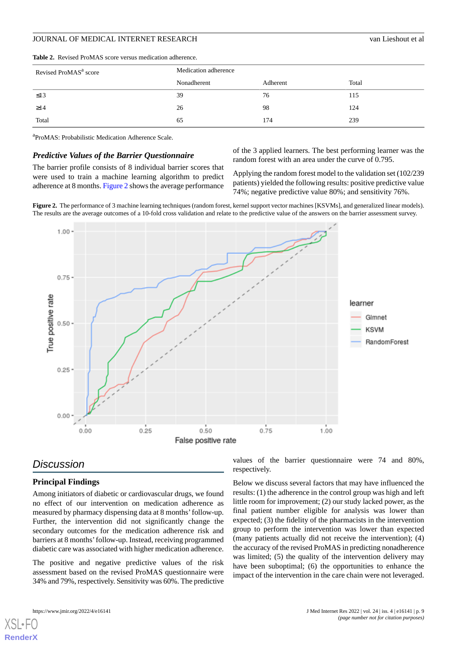| Revised ProMAS <sup>a</sup> score | Medication adherence |          |       |  |
|-----------------------------------|----------------------|----------|-------|--|
|                                   | Nonadherent          | Adherent | Total |  |
| $\leq$ 13                         | 39                   | 76       | 115   |  |
| $\geq$ 14                         | 26                   | 98       | 124   |  |
| Total                             | 65                   | 174      | 239   |  |

#### <span id="page-8-0"></span>**Table 2.** Revised ProMAS score versus medication adherence.

<sup>a</sup>ProMAS: Probabilistic Medication Adherence Scale.

#### *Predictive Values of the Barrier Questionnaire*

<span id="page-8-1"></span>The barrier profile consists of 8 individual barrier scores that were used to train a machine learning algorithm to predict adherence at 8 months. [Figure 2](#page-8-1) shows the average performance

of the 3 applied learners. The best performing learner was the random forest with an area under the curve of 0.795.

Applying the random forest model to the validation set (102/239 patients) yielded the following results: positive predictive value 74%; negative predictive value 80%; and sensitivity 76%.

**Figure 2.** The performance of 3 machine learning techniques (random forest, kernel support vector machines [KSVMs], and generalized linear models). The results are the average outcomes of a 10-fold cross validation and relate to the predictive value of the answers on the barrier assessment survey.



# *Discussion*

# **Principal Findings**

Among initiators of diabetic or cardiovascular drugs, we found no effect of our intervention on medication adherence as measured by pharmacy dispensing data at 8 months'follow-up. Further, the intervention did not significantly change the secondary outcomes for the medication adherence risk and barriers at 8 months'follow-up. Instead, receiving programmed diabetic care was associated with higher medication adherence.

The positive and negative predictive values of the risk assessment based on the revised ProMAS questionnaire were 34% and 79%, respectively. Sensitivity was 60%. The predictive

values of the barrier questionnaire were 74 and 80%, respectively.

Below we discuss several factors that may have influenced the results: (1) the adherence in the control group was high and left little room for improvement; (2) our study lacked power, as the final patient number eligible for analysis was lower than expected; (3) the fidelity of the pharmacists in the intervention group to perform the intervention was lower than expected (many patients actually did not receive the intervention); (4) the accuracy of the revised ProMAS in predicting nonadherence was limited; (5) the quality of the intervention delivery may have been suboptimal; (6) the opportunities to enhance the impact of the intervention in the care chain were not leveraged.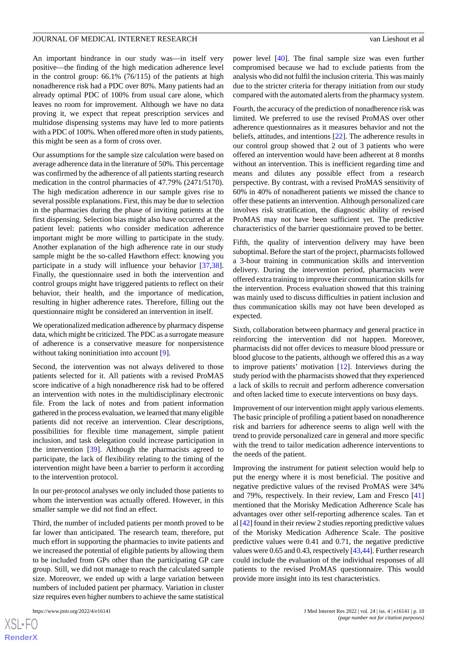An important hindrance in our study was—in itself very positive—the finding of the high medication adherence level in the control group: 66.1% (76/115) of the patients at high nonadherence risk had a PDC over 80%. Many patients had an already optimal PDC of 100% from usual care alone, which leaves no room for improvement. Although we have no data proving it, we expect that repeat prescription services and multidose dispensing systems may have led to more patients with a PDC of 100%. When offered more often in study patients, this might be seen as a form of cross over.

Our assumptions for the sample size calculation were based on average adherence data in the literature of 50%. This percentage was confirmed by the adherence of all patients starting research medication in the control pharmacies of 47.79% (2471/5170). The high medication adherence in our sample gives rise to several possible explanations. First, this may be due to selection in the pharmacies during the phase of inviting patients at the first dispensing. Selection bias might also have occurred at the patient level: patients who consider medication adherence important might be more willing to participate in the study. Another explanation of the high adherence rate in our study sample might be the so-called Hawthorn effect: knowing you participate in a study will influence your behavior [\[37](#page-12-10),[38\]](#page-12-11). Finally, the questionnaire used in both the intervention and control groups might have triggered patients to reflect on their behavior, their health, and the importance of medication, resulting in higher adherence rates. Therefore, filling out the questionnaire might be considered an intervention in itself.

We operationalized medication adherence by pharmacy dispense data, which might be criticized. The PDC as a surrogate measure of adherence is a conservative measure for nonpersistence without taking noninitiation into account [[9\]](#page-11-5).

Second, the intervention was not always delivered to those patients selected for it. All patients with a revised ProMAS score indicative of a high nonadherence risk had to be offered an intervention with notes in the multidisciplinary electronic file. From the lack of notes and from patient information gathered in the process evaluation, we learned that many eligible patients did not receive an intervention. Clear descriptions, possibilities for flexible time management, simple patient inclusion, and task delegation could increase participation in the intervention [[39\]](#page-12-12). Although the pharmacists agreed to participate, the lack of flexibility relating to the timing of the intervention might have been a barrier to perform it according to the intervention protocol.

In our per-protocol analyses we only included those patients to whom the intervention was actually offered. However, in this smaller sample we did not find an effect.

Third, the number of included patients per month proved to be far lower than anticipated. The research team, therefore, put much effort in supporting the pharmacies to invite patients and we increased the potential of eligible patients by allowing them to be included from GPs other than the participating GP care group. Still, we did not manage to reach the calculated sample size. Moreover, we ended up with a large variation between numbers of included patient per pharmacy. Variation in cluster size requires even higher numbers to achieve the same statistical

[XSL](http://www.w3.org/Style/XSL)•FO **[RenderX](http://www.renderx.com/)**

power level [\[40](#page-12-13)]. The final sample size was even further compromised because we had to exclude patients from the analysis who did not fulfil the inclusion criteria. This was mainly due to the stricter criteria for therapy initiation from our study compared with the automated alerts from the pharmacy system.

Fourth, the accuracy of the prediction of nonadherence risk was limited. We preferred to use the revised ProMAS over other adherence questionnaires as it measures behavior and not the beliefs, attitudes, and intentions [[22\]](#page-11-16). The adherence results in our control group showed that 2 out of 3 patients who were offered an intervention would have been adherent at 8 months without an intervention. This is inefficient regarding time and means and dilutes any possible effect from a research perspective. By contrast, with a revised ProMAS sensitivity of 60% in 40% of nonadherent patients we missed the chance to offer these patients an intervention. Although personalized care involves risk stratification, the diagnostic ability of revised ProMAS may not have been sufficient yet. The predictive characteristics of the barrier questionnaire proved to be better.

Fifth, the quality of intervention delivery may have been suboptimal. Before the start of the project, pharmacists followed a 3-hour training in communication skills and intervention delivery. During the intervention period, pharmacists were offered extra training to improve their communication skills for the intervention. Process evaluation showed that this training was mainly used to discuss difficulties in patient inclusion and thus communication skills may not have been developed as expected.

Sixth, collaboration between pharmacy and general practice in reinforcing the intervention did not happen. Moreover, pharmacists did not offer devices to measure blood pressure or blood glucose to the patients, although we offered this as a way to improve patients' motivation [[12\]](#page-11-8). Interviews during the study period with the pharmacists showed that they experienced a lack of skills to recruit and perform adherence conversation and often lacked time to execute interventions on busy days.

Improvement of our intervention might apply various elements. The basic principle of profiling a patient based on nonadherence risk and barriers for adherence seems to align well with the trend to provide personalized care in general and more specific with the trend to tailor medication adherence interventions to the needs of the patient.

Improving the instrument for patient selection would help to put the energy where it is most beneficial. The positive and negative predictive values of the revised ProMAS were 34% and 79%, respectively. In their review, Lam and Fresco [\[41](#page-12-14)] mentioned that the Morisky Medication Adherence Scale has advantages over other self-reporting adherence scales. Tan et al [[42\]](#page-12-15) found in their review 2 studies reporting predictive values of the Morisky Medication Adherence Scale. The positive predictive values were 0.41 and 0.71, the negative predictive values were 0.65 and 0.43, respectively [[43,](#page-12-16)[44\]](#page-12-17). Further research could include the evaluation of the individual responses of all patients to the revised ProMAS questionnaire. This would provide more insight into its test characteristics.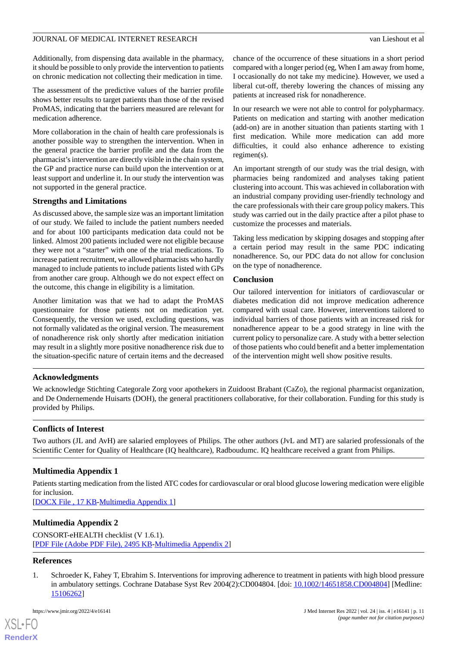Additionally, from dispensing data available in the pharmacy, it should be possible to only provide the intervention to patients on chronic medication not collecting their medication in time.

The assessment of the predictive values of the barrier profile shows better results to target patients than those of the revised ProMAS, indicating that the barriers measured are relevant for medication adherence.

More collaboration in the chain of health care professionals is another possible way to strengthen the intervention. When in the general practice the barrier profile and the data from the pharmacist's intervention are directly visible in the chain system, the GP and practice nurse can build upon the intervention or at least support and underline it. In our study the intervention was not supported in the general practice.

## **Strengths and Limitations**

As discussed above, the sample size was an important limitation of our study. We failed to include the patient numbers needed and for about 100 participants medication data could not be linked. Almost 200 patients included were not eligible because they were not a "starter" with one of the trial medications. To increase patient recruitment, we allowed pharmacists who hardly managed to include patients to include patients listed with GPs from another care group. Although we do not expect effect on the outcome, this change in eligibility is a limitation.

Another limitation was that we had to adapt the ProMAS questionnaire for those patients not on medication yet. Consequently, the version we used, excluding questions, was not formally validated as the original version. The measurement of nonadherence risk only shortly after medication initiation may result in a slightly more positive nonadherence risk due to the situation-specific nature of certain items and the decreased chance of the occurrence of these situations in a short period compared with a longer period (eg, When I am away from home, I occasionally do not take my medicine). However, we used a liberal cut-off, thereby lowering the chances of missing any patients at increased risk for nonadherence.

In our research we were not able to control for polypharmacy. Patients on medication and starting with another medication (add-on) are in another situation than patients starting with 1 first medication. While more medication can add more difficulties, it could also enhance adherence to existing regimen(s).

An important strength of our study was the trial design, with pharmacies being randomized and analyses taking patient clustering into account. This was achieved in collaboration with an industrial company providing user-friendly technology and the care professionals with their care group policy makers. This study was carried out in the daily practice after a pilot phase to customize the processes and materials.

Taking less medication by skipping dosages and stopping after a certain period may result in the same PDC indicating nonadherence. So, our PDC data do not allow for conclusion on the type of nonadherence.

## **Conclusion**

Our tailored intervention for initiators of cardiovascular or diabetes medication did not improve medication adherence compared with usual care. However, interventions tailored to individual barriers of those patients with an increased risk for nonadherence appear to be a good strategy in line with the current policy to personalize care. A study with a better selection of those patients who could benefit and a better implementation of the intervention might well show positive results.

## **Acknowledgments**

We acknowledge Stichting Categorale Zorg voor apothekers in Zuidoost Brabant (CaZo), the regional pharmacist organization, and De Ondernemende Huisarts (DOH), the general practitioners collaborative, for their collaboration. Funding for this study is provided by Philips.

## <span id="page-10-1"></span>**Conflicts of Interest**

Two authors (JL and AvH) are salaried employees of Philips. The other authors (JvL and MT) are salaried professionals of the Scientific Center for Quality of Healthcare (IQ healthcare), Radboudumc. IQ healthcare received a grant from Philips.

# **Multimedia Appendix 1**

Patients starting medication from the listed ATC codes for cardiovascular or oral blood glucose lowering medication were eligible for inclusion.

[[DOCX File , 17 KB](https://jmir.org/api/download?alt_name=jmir_v24i4e16141_app1.docx&filename=8870d20baa4f2310cf32c187549e1f82.docx)-[Multimedia Appendix 1\]](https://jmir.org/api/download?alt_name=jmir_v24i4e16141_app1.docx&filename=8870d20baa4f2310cf32c187549e1f82.docx)

# <span id="page-10-0"></span>**Multimedia Appendix 2**

CONSORT-eHEALTH checklist (V 1.6.1). [[PDF File \(Adobe PDF File\), 2495 KB](https://jmir.org/api/download?alt_name=jmir_v24i4e16141_app2.pdf&filename=37884d9cf8a0252d019b472948351399.pdf)-[Multimedia Appendix 2\]](https://jmir.org/api/download?alt_name=jmir_v24i4e16141_app2.pdf&filename=37884d9cf8a0252d019b472948351399.pdf)

## **References**

[XSL](http://www.w3.org/Style/XSL)•FO **[RenderX](http://www.renderx.com/)**

1. Schroeder K, Fahey T, Ebrahim S. Interventions for improving adherence to treatment in patients with high blood pressure in ambulatory settings. Cochrane Database Syst Rev 2004(2):CD004804. [doi: [10.1002/14651858.CD004804\]](http://dx.doi.org/10.1002/14651858.CD004804) [Medline: [15106262](http://www.ncbi.nlm.nih.gov/entrez/query.fcgi?cmd=Retrieve&db=PubMed&list_uids=15106262&dopt=Abstract)]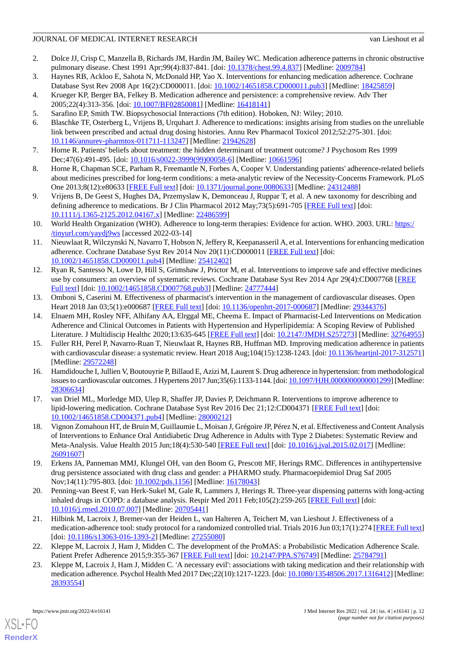- <span id="page-11-0"></span>2. Dolce JJ, Crisp C, Manzella B, Richards JM, Hardin JM, Bailey WC. Medication adherence patterns in chronic obstructive pulmonary disease. Chest 1991 Apr;99(4):837-841. [doi: [10.1378/chest.99.4.837\]](http://dx.doi.org/10.1378/chest.99.4.837) [Medline: [2009784\]](http://www.ncbi.nlm.nih.gov/entrez/query.fcgi?cmd=Retrieve&db=PubMed&list_uids=2009784&dopt=Abstract)
- <span id="page-11-2"></span>3. Haynes RB, Ackloo E, Sahota N, McDonald HP, Yao X. Interventions for enhancing medication adherence. Cochrane Database Syst Rev 2008 Apr 16(2):CD000011. [doi: [10.1002/14651858.CD000011.pub3](http://dx.doi.org/10.1002/14651858.CD000011.pub3)] [Medline: [18425859\]](http://www.ncbi.nlm.nih.gov/entrez/query.fcgi?cmd=Retrieve&db=PubMed&list_uids=18425859&dopt=Abstract)
- 4. Krueger KP, Berger BA, Felkey B. Medication adherence and persistence: a comprehensive review. Adv Ther 2005;22(4):313-356. [doi: [10.1007/BF02850081\]](http://dx.doi.org/10.1007/BF02850081) [Medline: [16418141\]](http://www.ncbi.nlm.nih.gov/entrez/query.fcgi?cmd=Retrieve&db=PubMed&list_uids=16418141&dopt=Abstract)
- <span id="page-11-1"></span>5. Sarafino EP, Smith TW. Biopsychosocial Interactions (7th edition). Hoboken, NJ: Wiley; 2010.
- <span id="page-11-3"></span>6. Blaschke TF, Osterberg L, Vrijens B, Urquhart J. Adherence to medications: insights arising from studies on the unreliable link between prescribed and actual drug dosing histories. Annu Rev Pharmacol Toxicol 2012;52:275-301. [doi: [10.1146/annurev-pharmtox-011711-113247](http://dx.doi.org/10.1146/annurev-pharmtox-011711-113247)] [Medline: [21942628\]](http://www.ncbi.nlm.nih.gov/entrez/query.fcgi?cmd=Retrieve&db=PubMed&list_uids=21942628&dopt=Abstract)
- <span id="page-11-4"></span>7. Horne R. Patients' beliefs about treatment: the hidden determinant of treatment outcome? J Psychosom Res 1999 Dec;47(6):491-495. [doi: [10.1016/s0022-3999\(99\)00058-6](http://dx.doi.org/10.1016/s0022-3999(99)00058-6)] [Medline: [10661596\]](http://www.ncbi.nlm.nih.gov/entrez/query.fcgi?cmd=Retrieve&db=PubMed&list_uids=10661596&dopt=Abstract)
- <span id="page-11-5"></span>8. Horne R, Chapman SCE, Parham R, Freemantle N, Forbes A, Cooper V. Understanding patients' adherence-related beliefs about medicines prescribed for long-term conditions: a meta-analytic review of the Necessity-Concerns Framework. PLoS One 2013;8(12):e80633 [\[FREE Full text\]](https://dx.plos.org/10.1371/journal.pone.0080633) [doi: [10.1371/journal.pone.0080633\]](http://dx.doi.org/10.1371/journal.pone.0080633) [Medline: [24312488\]](http://www.ncbi.nlm.nih.gov/entrez/query.fcgi?cmd=Retrieve&db=PubMed&list_uids=24312488&dopt=Abstract)
- <span id="page-11-6"></span>9. Vrijens B, De Geest S, Hughes DA, Przemyslaw K, Demonceau J, Ruppar T, et al. A new taxonomy for describing and defining adherence to medications. Br J Clin Pharmacol 2012 May;73(5):691-705 [[FREE Full text](https://doi.org/10.1111/j.1365-2125.2012.04167.x)] [doi: [10.1111/j.1365-2125.2012.04167.x\]](http://dx.doi.org/10.1111/j.1365-2125.2012.04167.x) [Medline: [22486599\]](http://www.ncbi.nlm.nih.gov/entrez/query.fcgi?cmd=Retrieve&db=PubMed&list_uids=22486599&dopt=Abstract)
- <span id="page-11-7"></span>10. World Health Organization (WHO). Adherence to long-term therapies: Evidence for action. WHO. 2003. URL: [https:/](http://apps.who.int/iris/bitstream/handle/10665/42682/9241545992.pdf;jsessionid=783848B3AF99E07803C1BA78FADF72EF?sequence=1) [/tinyurl.com/yaydj9ws](http://apps.who.int/iris/bitstream/handle/10665/42682/9241545992.pdf;jsessionid=783848B3AF99E07803C1BA78FADF72EF?sequence=1) [accessed 2022-03-14]
- <span id="page-11-8"></span>11. Nieuwlaat R, Wilczynski N, Navarro T, Hobson N, Jeffery R, Keepanasseril A, et al. Interventions for enhancing medication adherence. Cochrane Database Syst Rev 2014 Nov 20(11):CD000011 [\[FREE Full text\]](http://europepmc.org/abstract/MED/25412402) [doi: [10.1002/14651858.CD000011.pub4\]](http://dx.doi.org/10.1002/14651858.CD000011.pub4) [Medline: [25412402](http://www.ncbi.nlm.nih.gov/entrez/query.fcgi?cmd=Retrieve&db=PubMed&list_uids=25412402&dopt=Abstract)]
- <span id="page-11-9"></span>12. Ryan R, Santesso N, Lowe D, Hill S, Grimshaw J, Prictor M, et al. Interventions to improve safe and effective medicines use by consumers: an overview of systematic reviews. Cochrane Database Syst Rev 2014 Apr 29(4):CD007768 [[FREE](http://europepmc.org/abstract/MED/24777444) [Full text\]](http://europepmc.org/abstract/MED/24777444) [doi: [10.1002/14651858.CD007768.pub3](http://dx.doi.org/10.1002/14651858.CD007768.pub3)] [Medline: [24777444](http://www.ncbi.nlm.nih.gov/entrez/query.fcgi?cmd=Retrieve&db=PubMed&list_uids=24777444&dopt=Abstract)]
- <span id="page-11-10"></span>13. Omboni S, Caserini M. Effectiveness of pharmacist's intervention in the management of cardiovascular diseases. Open Heart 2018 Jan 03;5(1):e000687 [\[FREE Full text](https://openheart.bmj.com/lookup/pmidlookup?view=long&pmid=29344376)] [doi: [10.1136/openhrt-2017-000687](http://dx.doi.org/10.1136/openhrt-2017-000687)] [Medline: [29344376\]](http://www.ncbi.nlm.nih.gov/entrez/query.fcgi?cmd=Retrieve&db=PubMed&list_uids=29344376&dopt=Abstract)
- <span id="page-11-11"></span>14. Elnaem MH, Rosley NFF, Alhifany AA, Elrggal ME, Cheema E. Impact of Pharmacist-Led Interventions on Medication Adherence and Clinical Outcomes in Patients with Hypertension and Hyperlipidemia: A Scoping Review of Published Literature. J Multidiscip Healthc 2020;13:635-645 [[FREE Full text](https://dx.doi.org/10.2147/JMDH.S257273)] [doi: [10.2147/JMDH.S257273\]](http://dx.doi.org/10.2147/JMDH.S257273) [Medline: [32764955](http://www.ncbi.nlm.nih.gov/entrez/query.fcgi?cmd=Retrieve&db=PubMed&list_uids=32764955&dopt=Abstract)]
- 15. Fuller RH, Perel P, Navarro-Ruan T, Nieuwlaat R, Haynes RB, Huffman MD. Improving medication adherence in patients with cardiovascular disease: a systematic review. Heart 2018 Aug;104(15):1238-1243. [doi: [10.1136/heartjnl-2017-312571\]](http://dx.doi.org/10.1136/heartjnl-2017-312571) [Medline: [29572248](http://www.ncbi.nlm.nih.gov/entrez/query.fcgi?cmd=Retrieve&db=PubMed&list_uids=29572248&dopt=Abstract)]
- <span id="page-11-12"></span>16. Hamdidouche I, Jullien V, Boutouyrie P, Billaud E, Azizi M, Laurent S. Drug adherence in hypertension: from methodological issues to cardiovascular outcomes. J Hypertens 2017 Jun;35(6):1133-1144. [doi: 10.1097/HJH.00000000000001299] [Medline: [28306634](http://www.ncbi.nlm.nih.gov/entrez/query.fcgi?cmd=Retrieve&db=PubMed&list_uids=28306634&dopt=Abstract)]
- 17. van Driel ML, Morledge MD, Ulep R, Shaffer JP, Davies P, Deichmann R. Interventions to improve adherence to lipid-lowering medication. Cochrane Database Syst Rev 2016 Dec 21;12:CD004371 [[FREE Full text](http://europepmc.org/abstract/MED/28000212)] [doi: [10.1002/14651858.CD004371.pub4\]](http://dx.doi.org/10.1002/14651858.CD004371.pub4) [Medline: [28000212](http://www.ncbi.nlm.nih.gov/entrez/query.fcgi?cmd=Retrieve&db=PubMed&list_uids=28000212&dopt=Abstract)]
- <span id="page-11-14"></span><span id="page-11-13"></span>18. Vignon Zomahoun HT, de Bruin M, Guillaumie L, Moisan J, Grégoire JP, Pérez N, et al. Effectiveness and Content Analysis of Interventions to Enhance Oral Antidiabetic Drug Adherence in Adults with Type 2 Diabetes: Systematic Review and Meta-Analysis. Value Health 2015 Jun;18(4):530-540 [[FREE Full text](https://linkinghub.elsevier.com/retrieve/pii/S1098-3015(15)01911-7)] [doi: [10.1016/j.jval.2015.02.017](http://dx.doi.org/10.1016/j.jval.2015.02.017)] [Medline: [26091607](http://www.ncbi.nlm.nih.gov/entrez/query.fcgi?cmd=Retrieve&db=PubMed&list_uids=26091607&dopt=Abstract)]
- <span id="page-11-15"></span>19. Erkens JA, Panneman MMJ, Klungel OH, van den Boom G, Prescott MF, Herings RMC. Differences in antihypertensive drug persistence associated with drug class and gender: a PHARMO study. Pharmacoepidemiol Drug Saf 2005 Nov;14(11):795-803. [doi: [10.1002/pds.1156](http://dx.doi.org/10.1002/pds.1156)] [Medline: [16178043\]](http://www.ncbi.nlm.nih.gov/entrez/query.fcgi?cmd=Retrieve&db=PubMed&list_uids=16178043&dopt=Abstract)
- <span id="page-11-16"></span>20. Penning-van Beest F, van Herk-Sukel M, Gale R, Lammers J, Herings R. Three-year dispensing patterns with long-acting inhaled drugs in COPD: a database analysis. Respir Med 2011 Feb;105(2):259-265 [[FREE Full text](https://linkinghub.elsevier.com/retrieve/pii/S0954-6111(10)00326-4)] [doi: [10.1016/j.rmed.2010.07.007](http://dx.doi.org/10.1016/j.rmed.2010.07.007)] [Medline: [20705441\]](http://www.ncbi.nlm.nih.gov/entrez/query.fcgi?cmd=Retrieve&db=PubMed&list_uids=20705441&dopt=Abstract)
- <span id="page-11-17"></span>21. Hilbink M, Lacroix J, Bremer-van der Heiden L, van Halteren A, Teichert M, van Lieshout J. Effectiveness of a medication-adherence tool: study protocol for a randomized controlled trial. Trials 2016 Jun 03;17(1):274 [[FREE Full text](https://trialsjournal.biomedcentral.com/articles/10.1186/s13063-016-1393-2)] [doi: [10.1186/s13063-016-1393-2](http://dx.doi.org/10.1186/s13063-016-1393-2)] [Medline: [27255080\]](http://www.ncbi.nlm.nih.gov/entrez/query.fcgi?cmd=Retrieve&db=PubMed&list_uids=27255080&dopt=Abstract)
- 22. Kleppe M, Lacroix J, Ham J, Midden C. The development of the ProMAS: a Probabilistic Medication Adherence Scale. Patient Prefer Adherence 2015;9:355-367 [\[FREE Full text\]](https://dx.doi.org/10.2147/PPA.S76749) [doi: [10.2147/PPA.S76749](http://dx.doi.org/10.2147/PPA.S76749)] [Medline: [25784791](http://www.ncbi.nlm.nih.gov/entrez/query.fcgi?cmd=Retrieve&db=PubMed&list_uids=25784791&dopt=Abstract)]
- 23. Kleppe M, Lacroix J, Ham J, Midden C. 'A necessary evil': associations with taking medication and their relationship with medication adherence. Psychol Health Med 2017 Dec;22(10):1217-1223. [doi: [10.1080/13548506.2017.1316412\]](http://dx.doi.org/10.1080/13548506.2017.1316412) [Medline: [28393554](http://www.ncbi.nlm.nih.gov/entrez/query.fcgi?cmd=Retrieve&db=PubMed&list_uids=28393554&dopt=Abstract)]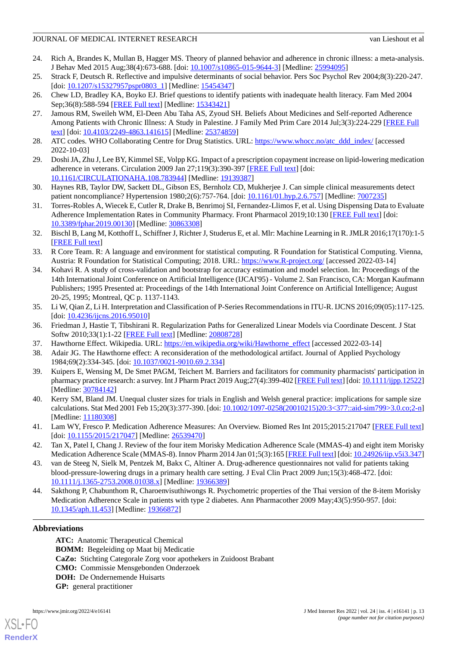- 24. Rich A, Brandes K, Mullan B, Hagger MS. Theory of planned behavior and adherence in chronic illness: a meta-analysis. J Behav Med 2015 Aug;38(4):673-688. [doi: [10.1007/s10865-015-9644-3](http://dx.doi.org/10.1007/s10865-015-9644-3)] [Medline: [25994095](http://www.ncbi.nlm.nih.gov/entrez/query.fcgi?cmd=Retrieve&db=PubMed&list_uids=25994095&dopt=Abstract)]
- 25. Strack F, Deutsch R. Reflective and impulsive determinants of social behavior. Pers Soc Psychol Rev 2004;8(3):220-247. [doi: [10.1207/s15327957pspr0803\\_1](http://dx.doi.org/10.1207/s15327957pspr0803_1)] [Medline: [15454347](http://www.ncbi.nlm.nih.gov/entrez/query.fcgi?cmd=Retrieve&db=PubMed&list_uids=15454347&dopt=Abstract)]
- <span id="page-12-0"></span>26. Chew LD, Bradley KA, Boyko EJ. Brief questions to identify patients with inadequate health literacy. Fam Med 2004 Sep;36(8):588-594 [[FREE Full text](http://www.stfm.org/fmhub/fm2004/September/Lisa588.pdf)] [Medline: [15343421](http://www.ncbi.nlm.nih.gov/entrez/query.fcgi?cmd=Retrieve&db=PubMed&list_uids=15343421&dopt=Abstract)]
- <span id="page-12-1"></span>27. Jamous RM, Sweileh WM, El-Deen Abu Taha AS, Zyoud SH. Beliefs About Medicines and Self-reported Adherence Among Patients with Chronic Illness: A Study in Palestine. J Family Med Prim Care 2014 Jul;3(3):224-229 [\[FREE Full](http://www.jfmpc.com/article.asp?issn=2249-4863;year=2014;volume=3;issue=3;spage=224;epage=229;aulast=Jamous) [text](http://www.jfmpc.com/article.asp?issn=2249-4863;year=2014;volume=3;issue=3;spage=224;epage=229;aulast=Jamous)] [doi: [10.4103/2249-4863.141615\]](http://dx.doi.org/10.4103/2249-4863.141615) [Medline: [25374859\]](http://www.ncbi.nlm.nih.gov/entrez/query.fcgi?cmd=Retrieve&db=PubMed&list_uids=25374859&dopt=Abstract)
- <span id="page-12-2"></span>28. ATC codes. WHO Collaborating Centre for Drug Statistics. URL: [https://www.whocc.no/atc\\_ddd\\_index/](https://www.whocc.no/atc_ddd_index/) [accessed 2022-10-03]
- <span id="page-12-3"></span>29. Doshi JA, Zhu J, Lee BY, Kimmel SE, Volpp KG. Impact of a prescription copayment increase on lipid-lowering medication adherence in veterans. Circulation 2009 Jan 27;119(3):390-397 [\[FREE Full text\]](http://europepmc.org/abstract/MED/19139387) [doi: [10.1161/CIRCULATIONAHA.108.783944\]](http://dx.doi.org/10.1161/CIRCULATIONAHA.108.783944) [Medline: [19139387\]](http://www.ncbi.nlm.nih.gov/entrez/query.fcgi?cmd=Retrieve&db=PubMed&list_uids=19139387&dopt=Abstract)
- <span id="page-12-4"></span>30. Haynes RB, Taylor DW, Sackett DL, Gibson ES, Bernholz CD, Mukherjee J. Can simple clinical measurements detect patient noncompliance? Hypertension 1980;2(6):757-764. [doi: [10.1161/01.hyp.2.6.757\]](http://dx.doi.org/10.1161/01.hyp.2.6.757) [Medline: [7007235\]](http://www.ncbi.nlm.nih.gov/entrez/query.fcgi?cmd=Retrieve&db=PubMed&list_uids=7007235&dopt=Abstract)
- <span id="page-12-5"></span>31. Torres-Robles A, Wiecek E, Cutler R, Drake B, Benrimoj SI, Fernandez-Llimos F, et al. Using Dispensing Data to Evaluate Adherence Implementation Rates in Community Pharmacy. Front Pharmacol 2019;10:130 [[FREE Full text\]](https://doi.org/10.3389/fphar.2019.00130) [doi: [10.3389/fphar.2019.00130](http://dx.doi.org/10.3389/fphar.2019.00130)] [Medline: [30863308](http://www.ncbi.nlm.nih.gov/entrez/query.fcgi?cmd=Retrieve&db=PubMed&list_uids=30863308&dopt=Abstract)]
- <span id="page-12-6"></span>32. Bischl B, Lang M, Kotthoff L, Schiffner J, Richter J, Studerus E, et al. Mlr: Machine Learning in R. JMLR 2016;17(170):1-5 [[FREE Full text](https://jmlr.org/papers/volume17/15-066/15-066.pdf)]
- <span id="page-12-7"></span>33. R Core Team. R: A language and environment for statistical computing. R Foundation for Statistical Computing. Vienna, Austria: R Foundation for Statistical Computing; 2018. URL: <https://www.R-project.org/> [accessed 2022-03-14]
- <span id="page-12-8"></span>34. Kohavi R. A study of cross-validation and bootstrap for accuracy estimation and model selection. In: Proceedings of the 14th International Joint Conference on Artificial Intelligence (IJCAI'95) - Volume 2. San Francisco, CA: Morgan Kaufmann Publishers; 1995 Presented at: Proceedings of the 14th International Joint Conference on Artificial Intelligence; August 20-25, 1995; Montreal, QC p. 1137-1143.
- <span id="page-12-10"></span><span id="page-12-9"></span>35. Li W, Qian Z, Li H. Interpretation and Classification of P-Series Recommendations in ITU-R. IJCNS 2016;09(05):117-125. [doi: [10.4236/ijcns.2016.95010](http://dx.doi.org/10.4236/ijcns.2016.95010)]
- <span id="page-12-11"></span>36. Friedman J, Hastie T, Tibshirani R. Regularization Paths for Generalized Linear Models via Coordinate Descent. J Stat Softw 2010;33(1):1-22 [\[FREE Full text\]](http://europepmc.org/abstract/MED/20808728) [Medline: [20808728](http://www.ncbi.nlm.nih.gov/entrez/query.fcgi?cmd=Retrieve&db=PubMed&list_uids=20808728&dopt=Abstract)]
- <span id="page-12-12"></span>37. Hawthorne Effect. Wikipedia. URL: [https://en.wikipedia.org/wiki/Hawthorne\\_effect](https://en.wikipedia.org/wiki/Hawthorne_effect) [accessed 2022-03-14]
- <span id="page-12-13"></span>38. Adair JG. The Hawthorne effect: A reconsideration of the methodological artifact. Journal of Applied Psychology 1984;69(2):334-345. [doi: [10.1037/0021-9010.69.2.334\]](http://dx.doi.org/10.1037/0021-9010.69.2.334)
- <span id="page-12-14"></span>39. Kuipers E, Wensing M, De Smet PAGM, Teichert M. Barriers and facilitators for community pharmacists' participation in pharmacy practice research: a survey. Int J Pharm Pract 2019 Aug; 27(4):399-402 [\[FREE Full text](http://europepmc.org/abstract/MED/30784142)] [doi: [10.1111/ijpp.12522](http://dx.doi.org/10.1111/ijpp.12522)] [Medline: [30784142](http://www.ncbi.nlm.nih.gov/entrez/query.fcgi?cmd=Retrieve&db=PubMed&list_uids=30784142&dopt=Abstract)]
- <span id="page-12-15"></span>40. Kerry SM, Bland JM. Unequal cluster sizes for trials in English and Welsh general practice: implications for sample size calculations. Stat Med 2001 Feb 15;20(3):377-390. [doi: [10.1002/1097-0258\(20010215\)20:3<377::aid-sim799>3.0.co;2-n](http://dx.doi.org/10.1002/1097-0258(20010215)20:3<377::aid-sim799>3.0.co;2-n)] [Medline: [11180308](http://www.ncbi.nlm.nih.gov/entrez/query.fcgi?cmd=Retrieve&db=PubMed&list_uids=11180308&dopt=Abstract)]
- <span id="page-12-16"></span>41. Lam WY, Fresco P. Medication Adherence Measures: An Overview. Biomed Res Int 2015;2015:217047 [[FREE Full text\]](https://doi.org/10.1155/2015/217047) [doi: [10.1155/2015/217047\]](http://dx.doi.org/10.1155/2015/217047) [Medline: [26539470\]](http://www.ncbi.nlm.nih.gov/entrez/query.fcgi?cmd=Retrieve&db=PubMed&list_uids=26539470&dopt=Abstract)
- <span id="page-12-17"></span>42. Tan X, Patel I, Chang J. Review of the four item Morisky Medication Adherence Scale (MMAS-4) and eight item Morisky Medication Adherence Scale (MMAS-8). Innov Pharm 2014 Jan 01;5(3):165 [[FREE Full text\]](http://pubs.lib.umn.edu/innovations/vol5/iss3/5) [doi: [10.24926/iip.v5i3.347](http://dx.doi.org/10.24926/iip.v5i3.347)]
- 43. van de Steeg N, Sielk M, Pentzek M, Bakx C, Altiner A. Drug-adherence questionnaires not valid for patients taking blood-pressure-lowering drugs in a primary health care setting. J Eval Clin Pract 2009 Jun;15(3):468-472. [doi: [10.1111/j.1365-2753.2008.01038.x\]](http://dx.doi.org/10.1111/j.1365-2753.2008.01038.x) [Medline: [19366389\]](http://www.ncbi.nlm.nih.gov/entrez/query.fcgi?cmd=Retrieve&db=PubMed&list_uids=19366389&dopt=Abstract)
- 44. Sakthong P, Chabunthom R, Charoenvisuthiwongs R. Psychometric properties of the Thai version of the 8-item Morisky Medication Adherence Scale in patients with type 2 diabetes. Ann Pharmacother 2009 May;43(5):950-957. [doi: [10.1345/aph.1L453\]](http://dx.doi.org/10.1345/aph.1L453) [Medline: [19366872\]](http://www.ncbi.nlm.nih.gov/entrez/query.fcgi?cmd=Retrieve&db=PubMed&list_uids=19366872&dopt=Abstract)

# **Abbreviations**

**ATC:** Anatomic Therapeutical Chemical **BOMM:** Begeleiding op Maat bij Medicatie **CaZo:** Stichting Categorale Zorg voor apothekers in Zuidoost Brabant **CMO:** Commissie Mensgebonden Onderzoek **DOH:** De Ondernemende Huisarts **GP:** general practitioner